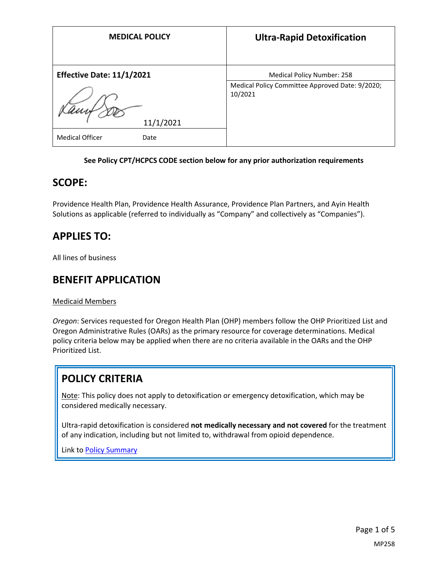| <b>MEDICAL POLICY</b>                       | <b>Ultra-Rapid Detoxification</b>                                                        |
|---------------------------------------------|------------------------------------------------------------------------------------------|
| <b>Effective Date: 11/1/2021</b>            | Medical Policy Number: 258<br>Medical Policy Committee Approved Date: 9/2020;<br>10/2021 |
| 11/1/2021<br><b>Medical Officer</b><br>Date |                                                                                          |

### **See Policy CPT/HCPCS CODE section below for any prior authorization requirements**

## **SCOPE:**

Providence Health Plan, Providence Health Assurance, Providence Plan Partners, and Ayin Health Solutions as applicable (referred to individually as "Company" and collectively as "Companies").

# **APPLIES TO:**

All lines of business

## **BENEFIT APPLICATION**

Medicaid Members

*Oregon*: Services requested for Oregon Health Plan (OHP) members follow the OHP Prioritized List and Oregon Administrative Rules (OARs) as the primary resource for coverage determinations. Medical policy criteria below may be applied when there are no criteria available in the OARs and the OHP Prioritized List.

# **POLICY CRITERIA**

Note: This policy does not apply to detoxification or emergency detoxification, which may be considered medically necessary.

Ultra-rapid detoxification is considered **not medically necessary and not covered** for the treatment of any indication, including but not limited to, withdrawal from opioid dependence.

Link t[o Policy Summary](#page-3-0)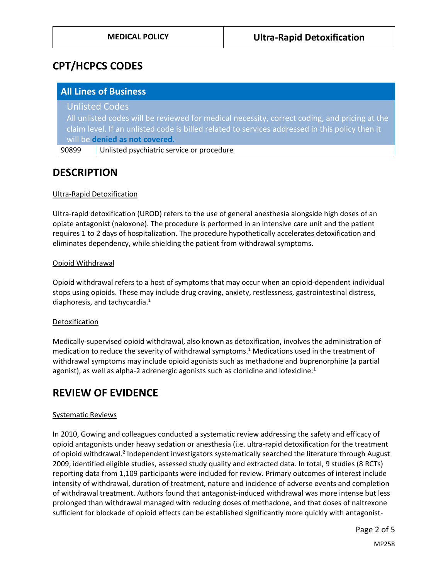# **CPT/HCPCS CODES**

|       | <b>All Lines of Business</b>                                                                    |
|-------|-------------------------------------------------------------------------------------------------|
|       | <b>Unlisted Codes</b>                                                                           |
|       | All unlisted codes will be reviewed for medical necessity, correct coding, and pricing at the   |
|       | claim level. If an unlisted code is billed related to services addressed in this policy then it |
|       | will be denied as not covered.                                                                  |
| 90899 | Unlisted psychiatric service or procedure                                                       |

## **DESCRIPTION**

## Ultra-Rapid Detoxification

Ultra-rapid detoxification (UROD) refers to the use of general anesthesia alongside high doses of an opiate antagonist (naloxone). The procedure is performed in an intensive care unit and the patient requires 1 to 2 days of hospitalization. The procedure hypothetically accelerates detoxification and eliminates dependency, while shielding the patient from withdrawal symptoms.

### Opioid Withdrawal

Opioid withdrawal refers to a host of symptoms that may occur when an opioid-dependent individual stops using opioids. These may include drug craving, anxiety, restlessness, gastrointestinal distress, diaphoresis, and tachycardia. $1$ 

### Detoxification

Medically-supervised opioid withdrawal, also known as detoxification, involves the administration of medication to reduce the severity of withdrawal symptoms.<sup>1</sup> Medications used in the treatment of withdrawal symptoms may include opioid agonists such as methadone and buprenorphine (a partial agonist), as well as alpha-2 adrenergic agonists such as clonidine and lofexidine.<sup>1</sup>

# **REVIEW OF EVIDENCE**

### Systematic Reviews

In 2010, Gowing and colleagues conducted a systematic review addressing the safety and efficacy of opioid antagonists under heavy sedation or anesthesia (i.e. ultra-rapid detoxification for the treatment of opioid withdrawal.<sup>2</sup> Independent investigators systematically searched the literature through August 2009, identified eligible studies, assessed study quality and extracted data. In total, 9 studies (8 RCTs) reporting data from 1,109 participants were included for review. Primary outcomes of interest include intensity of withdrawal, duration of treatment, nature and incidence of adverse events and completion of withdrawal treatment. Authors found that antagonist-induced withdrawal was more intense but less prolonged than withdrawal managed with reducing doses of methadone, and that doses of naltrexone sufficient for blockade of opioid effects can be established significantly more quickly with antagonist-

Page 2 of 5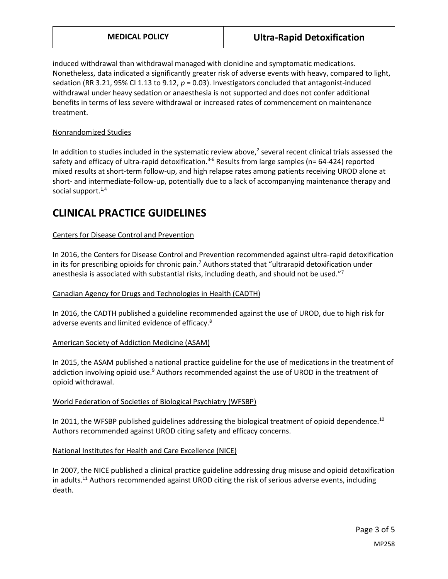induced withdrawal than withdrawal managed with clonidine and symptomatic medications. Nonetheless, data indicated a significantly greater risk of adverse events with heavy, compared to light, sedation (RR 3.21, 95% CI 1.13 to 9.12, *p* = 0.03). Investigators concluded that antagonist-induced withdrawal under heavy sedation or anaesthesia is not supported and does not confer additional benefits in terms of less severe withdrawal or increased rates of commencement on maintenance treatment.

## Nonrandomized Studies

In addition to studies included in the systematic review above,<sup>2</sup> several recent clinical trials assessed the safety and efficacy of ultra-rapid detoxification.<sup>3-6</sup> Results from large samples (n= 64-424) reported mixed results at short-term follow-up, and high relapse rates among patients receiving UROD alone at short- and intermediate-follow-up, potentially due to a lack of accompanying maintenance therapy and social support. $1,4$ 

## **CLINICAL PRACTICE GUIDELINES**

## Centers for Disease Control and Prevention

In 2016, the Centers for Disease Control and Prevention recommended against ultra-rapid detoxification in its for prescribing opioids for chronic pain.<sup>7</sup> Authors stated that "ultrarapid detoxification under anesthesia is associated with substantial risks, including death, and should not be used."<sup>7</sup>

### Canadian Agency for Drugs and Technologies in Health (CADTH)

In 2016, the CADTH published a guideline recommended against the use of UROD, due to high risk for adverse events and limited evidence of efficacy.<sup>8</sup>

### American Society of Addiction Medicine (ASAM)

In 2015, the ASAM published a national practice guideline for the use of medications in the treatment of addiction involving opioid use.<sup>9</sup> Authors recommended against the use of UROD in the treatment of opioid withdrawal.

### World Federation of Societies of Biological Psychiatry (WFSBP)

In 2011, the WFSBP published guidelines addressing the biological treatment of opioid dependence.<sup>10</sup> Authors recommended against UROD citing safety and efficacy concerns.

### National Institutes for Health and Care Excellence (NICE)

In 2007, the NICE published a clinical practice guideline addressing drug misuse and opioid detoxification in adults.<sup>11</sup> Authors recommended against UROD citing the risk of serious adverse events, including death.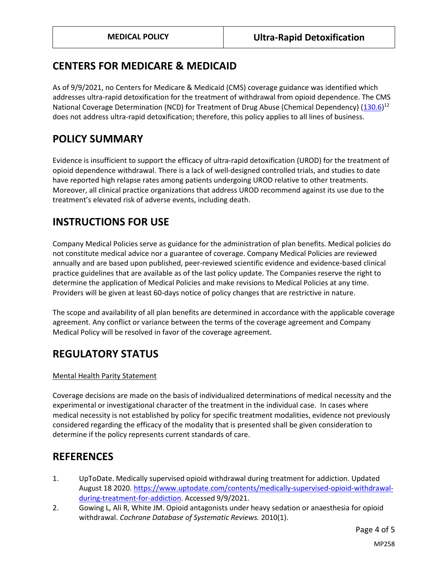## <span id="page-3-0"></span>**CENTERS FOR MEDICARE & MEDICAID**

As of 9/9/2021, no Centers for Medicare & Medicaid (CMS) coverage guidance was identified which addresses ultra-rapid detoxification for the treatment of withdrawal from opioid dependence. The CMS National Coverage Determination (NCD) for Treatment of Drug Abuse (Chemical Dependency) [\(130.6\)](https://www.cms.gov/medicare-coverage-database/details/ncd-details.aspx?NCDId=28)<sup>12</sup> does not address ultra-rapid detoxification; therefore, this policy applies to all lines of business.

## **POLICY SUMMARY**

Evidence is insufficient to support the efficacy of ultra-rapid detoxification (UROD) for the treatment of opioid dependence withdrawal. There is a lack of well-designed controlled trials, and studies to date have reported high relapse rates among patients undergoing UROD relative to other treatments. Moreover, all clinical practice organizations that address UROD recommend against its use due to the treatment's elevated risk of adverse events, including death.

## **INSTRUCTIONS FOR USE**

Company Medical Policies serve as guidance for the administration of plan benefits. Medical policies do not constitute medical advice nor a guarantee of coverage. Company Medical Policies are reviewed annually and are based upon published, peer-reviewed scientific evidence and evidence-based clinical practice guidelines that are available as of the last policy update. The Companies reserve the right to determine the application of Medical Policies and make revisions to Medical Policies at any time. Providers will be given at least 60-days notice of policy changes that are restrictive in nature.

The scope and availability of all plan benefits are determined in accordance with the applicable coverage agreement. Any conflict or variance between the terms of the coverage agreement and Company Medical Policy will be resolved in favor of the coverage agreement.

# **REGULATORY STATUS**

## Mental Health Parity Statement

Coverage decisions are made on the basis of individualized determinations of medical necessity and the experimental or investigational character of the treatment in the individual case. In cases where medical necessity is not established by policy for specific treatment modalities, evidence not previously considered regarding the efficacy of the modality that is presented shall be given consideration to determine if the policy represents current standards of care.

## **REFERENCES**

- 1. UpToDate. Medically supervised opioid withdrawal during treatment for addiction. Updated August 18 2020. [https://www.uptodate.com/contents/medically-supervised-opioid-withdrawal](https://www.uptodate.com/contents/medically-supervised-opioid-withdrawal-during-treatment-for-addiction)[during-treatment-for-addiction.](https://www.uptodate.com/contents/medically-supervised-opioid-withdrawal-during-treatment-for-addiction) Accessed 9/9/2021.
- 2. Gowing L, Ali R, White JM. Opioid antagonists under heavy sedation or anaesthesia for opioid withdrawal. *Cochrane Database of Systematic Reviews.* 2010(1).